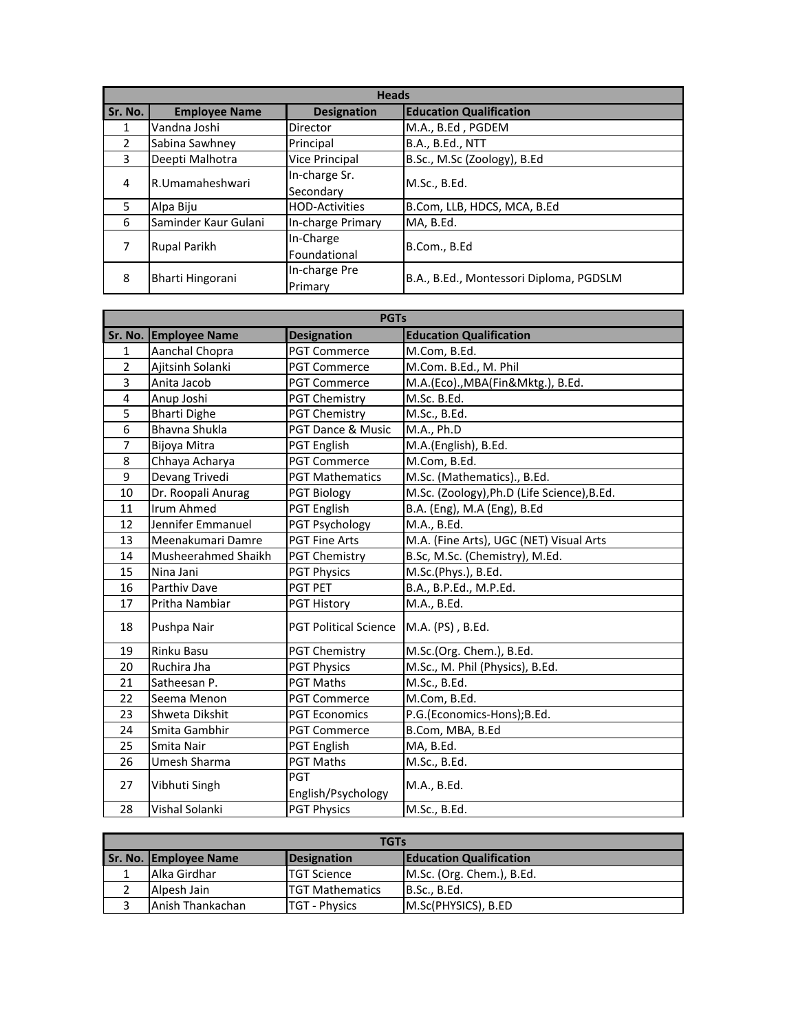| <b>Heads</b>  |                      |                            |                                         |  |
|---------------|----------------------|----------------------------|-----------------------------------------|--|
| Sr. No.       | <b>Employee Name</b> | <b>Designation</b>         | <b>Education Qualification</b>          |  |
| 1             | Vandna Joshi         | <b>Director</b>            | M.A., B.Ed, PGDEM                       |  |
| $\mathcal{P}$ | Sabina Sawhney       | Principal                  | <b>B.A., B.Ed., NTT</b>                 |  |
| 3             | Deepti Malhotra      | <b>Vice Principal</b>      | B.Sc., M.Sc (Zoology), B.Ed             |  |
| 4             | l R. Umamaheshwari   | In-charge Sr.<br>Secondary | M.Sc., B.Ed.                            |  |
| 5.            | Alpa Biju            | <b>HOD-Activities</b>      | B.Com, LLB, HDCS, MCA, B.Ed             |  |
| 6             | Saminder Kaur Gulani | In-charge Primary          | MA, B.Ed.                               |  |
|               | Rupal Parikh         | In-Charge<br>Foundational  | B.Com., B.Ed                            |  |
| 8             | Bharti Hingorani     | In-charge Pre<br>Primary   | B.A., B.Ed., Montessori Diploma, PGDSLM |  |

| <b>PGTs</b>    |                       |                                          |                                             |
|----------------|-----------------------|------------------------------------------|---------------------------------------------|
|                | Sr. No. Employee Name | <b>Designation</b>                       | <b>Education Qualification</b>              |
| $\mathbf{1}$   | Aanchal Chopra        | <b>PGT Commerce</b>                      | M.Com, B.Ed.                                |
| $\overline{2}$ | Ajitsinh Solanki      | <b>PGT Commerce</b>                      | M.Com. B.Ed., M. Phil                       |
| 3              | Anita Jacob           | <b>PGT Commerce</b>                      | M.A.(Eco)., MBA(Fin&Mktg.), B.Ed.           |
| 4              | Anup Joshi            | <b>PGT Chemistry</b>                     | M.Sc. B.Ed.                                 |
| 5              | <b>Bharti Dighe</b>   | <b>PGT Chemistry</b>                     | M.Sc., B.Ed.                                |
| 6              | Bhavna Shukla         | PGT Dance & Music                        | M.A., Ph.D                                  |
| 7              | Bijoya Mitra          | PGT English                              | M.A.(English), B.Ed.                        |
| 8              | Chhaya Acharya        | <b>PGT Commerce</b>                      | M.Com, B.Ed.                                |
| 9              | Devang Trivedi        | <b>PGT Mathematics</b>                   | M.Sc. (Mathematics)., B.Ed.                 |
| 10             | Dr. Roopali Anurag    | <b>PGT Biology</b>                       | M.Sc. (Zoology), Ph.D (Life Science), B.Ed. |
| 11             | <b>Irum Ahmed</b>     | PGT English                              | B.A. (Eng), M.A (Eng), B.Ed                 |
| 12             | Jennifer Emmanuel     | PGT Psychology                           | M.A., B.Ed.                                 |
| 13             | Meenakumari Damre     | <b>PGT Fine Arts</b>                     | M.A. (Fine Arts), UGC (NET) Visual Arts     |
| 14             | Musheerahmed Shaikh   | <b>PGT Chemistry</b>                     | B.Sc, M.Sc. (Chemistry), M.Ed.              |
| 15             | Nina Jani             | <b>PGT Physics</b>                       | M.Sc.(Phys.), B.Ed.                         |
| 16             | Parthiv Dave          | <b>PGT PET</b>                           | B.A., B.P.Ed., M.P.Ed.                      |
| 17             | Pritha Nambiar        | PGT History                              | M.A., B.Ed.                                 |
| 18             | Pushpa Nair           | PGT Political Science   M.A. (PS), B.Ed. |                                             |
| 19             | Rinku Basu            | <b>PGT Chemistry</b>                     | M.Sc.(Org. Chem.), B.Ed.                    |
| 20             | Ruchira Jha           | <b>PGT Physics</b>                       | M.Sc., M. Phil (Physics), B.Ed.             |
| 21             | Satheesan P.          | <b>PGT Maths</b>                         | M.Sc., B.Ed.                                |
| 22             | Seema Menon           | <b>PGT Commerce</b>                      | M.Com, B.Ed.                                |
| 23             | Shweta Dikshit        | <b>PGT Economics</b>                     | P.G.(Economics-Hons);B.Ed.                  |
| 24             | Smita Gambhir         | <b>PGT Commerce</b>                      | B.Com, MBA, B.Ed                            |
| 25             | Smita Nair            | <b>PGT English</b>                       | MA, B.Ed.                                   |
| 26             | Umesh Sharma          | <b>PGT Maths</b>                         | M.Sc., B.Ed.                                |
| 27             | Vibhuti Singh         | PGT<br>English/Psychology                | M.A., B.Ed.                                 |
| 28             | Vishal Solanki        | <b>PGT Physics</b>                       | M.Sc., B.Ed.                                |

| <b>TGTs</b> |                       |                         |                                |  |
|-------------|-----------------------|-------------------------|--------------------------------|--|
|             | Sr. No. Employee Name | Designation             | <b>Education Qualification</b> |  |
|             | Alka Girdhar          | <b>TGT Science</b>      | M.Sc. (Org. Chem.), B.Ed.      |  |
|             | Alpesh Jain           | <b>ITGT Mathematics</b> | B.Sc., B.Ed.                   |  |
|             | lAnish Thankachan     | <b>TGT - Physics</b>    | M.Sc(PHYSICS), B.ED            |  |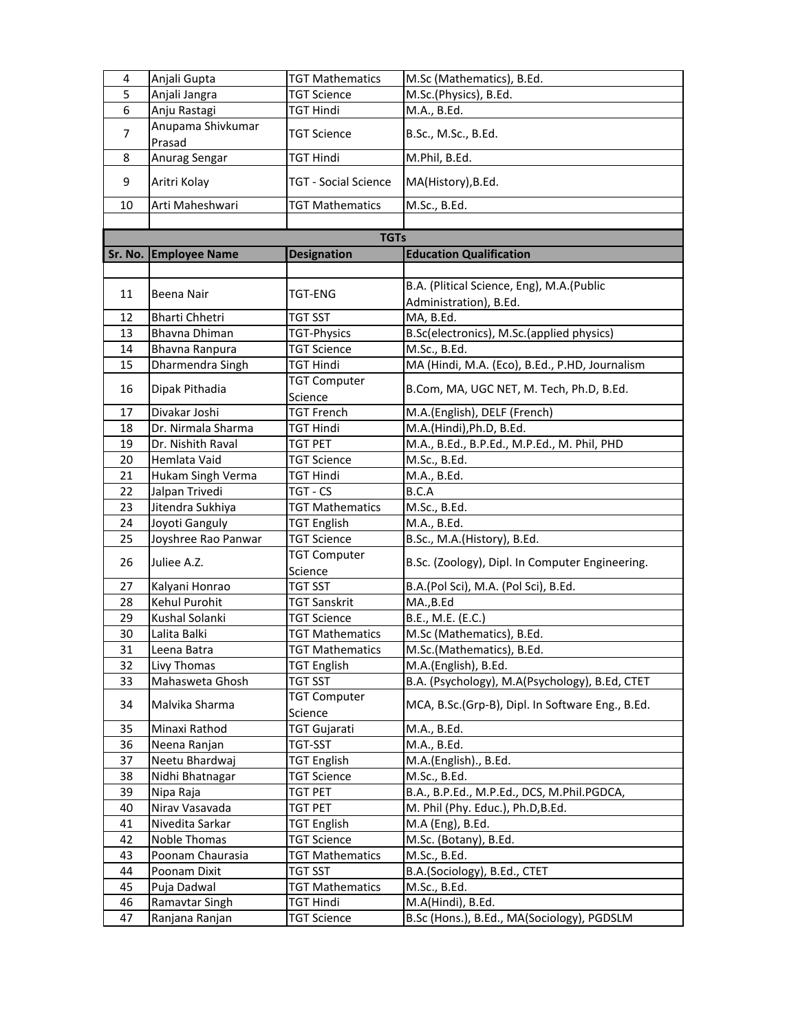| 4              | Anjali Gupta          | <b>TGT Mathematics</b>         | M.Sc (Mathematics), B.Ed.                        |
|----------------|-----------------------|--------------------------------|--------------------------------------------------|
| 5              | Anjali Jangra         | <b>TGT Science</b>             | M.Sc.(Physics), B.Ed.                            |
| 6              | Anju Rastagi          | TGT Hindi                      | M.A., B.Ed.                                      |
| $\overline{7}$ | Anupama Shivkumar     | <b>TGT Science</b>             | B.Sc., M.Sc., B.Ed.                              |
|                | Prasad                |                                |                                                  |
| 8              | Anurag Sengar         | TGT Hindi                      | M.Phil, B.Ed.                                    |
| 9              | Aritri Kolay          | <b>TGT - Social Science</b>    | MA(History), B.Ed.                               |
| 10             | Arti Maheshwari       | <b>TGT Mathematics</b>         | M.Sc., B.Ed.                                     |
|                |                       | <b>TGTs</b>                    |                                                  |
|                |                       |                                |                                                  |
|                | Sr. No. Employee Name | <b>Designation</b>             | <b>Education Qualification</b>                   |
|                |                       |                                | B.A. (Plitical Science, Eng), M.A. (Public       |
| 11             | Beena Nair            | TGT-ENG                        |                                                  |
| 12             | <b>Bharti Chhetri</b> | TGT SST                        | Administration), B.Ed.<br>MA, B.Ed.              |
| 13             | Bhavna Dhiman         | TGT-Physics                    | B.Sc(electronics), M.Sc.(applied physics)        |
| 14             | Bhavna Ranpura        | <b>TGT Science</b>             | M.Sc., B.Ed.                                     |
| 15             | Dharmendra Singh      | <b>TGT Hindi</b>               | MA (Hindi, M.A. (Eco), B.Ed., P.HD, Journalism   |
|                |                       | <b>TGT Computer</b>            |                                                  |
| 16             | Dipak Pithadia        | Science                        | B.Com, MA, UGC NET, M. Tech, Ph.D, B.Ed.         |
| 17             | Divakar Joshi         | <b>TGT French</b>              | M.A.(English), DELF (French)                     |
| 18             | Dr. Nirmala Sharma    | TGT Hindi                      | M.A.(Hindi), Ph.D, B.Ed.                         |
| 19             | Dr. Nishith Raval     | TGT PET                        | M.A., B.Ed., B.P.Ed., M.P.Ed., M. Phil, PHD      |
| 20             | Hemlata Vaid          | <b>TGT Science</b>             | M.Sc., B.Ed.                                     |
| 21             | Hukam Singh Verma     | <b>TGT Hindi</b>               | M.A., B.Ed.                                      |
| 22             | Jalpan Trivedi        | TGT - CS                       | B.C.A                                            |
| 23             | Jitendra Sukhiya      | <b>TGT Mathematics</b>         | M.Sc., B.Ed.                                     |
| 24             | Joyoti Ganguly        | <b>TGT English</b>             | M.A., B.Ed.                                      |
| 25             | Joyshree Rao Panwar   | <b>TGT Science</b>             | B.Sc., M.A.(History), B.Ed.                      |
| 26             | Juliee A.Z.           | <b>TGT Computer</b><br>Science | B.Sc. (Zoology), Dipl. In Computer Engineering.  |
| 27             | Kalyani Honrao        | TGT SST                        | B.A.(Pol Sci), M.A. (Pol Sci), B.Ed.             |
| 28             | Kehul Purohit         | TGT Sanskrit                   | MA.,B.Ed                                         |
| 29             | Kushal Solanki        | <b>TGT Science</b>             | B.E., M.E. (E.C.)                                |
| 30             | Lalita Balki          | <b>TGT Mathematics</b>         | M.Sc (Mathematics), B.Ed.                        |
| 31             | Leena Batra           | <b>TGT Mathematics</b>         | M.Sc.(Mathematics), B.Ed.                        |
| 32             | Livy Thomas           | <b>TGT English</b>             | M.A.(English), B.Ed.                             |
| 33             | Mahasweta Ghosh       | TGT SST                        | B.A. (Psychology), M.A(Psychology), B.Ed, CTET   |
| 34             | Malvika Sharma        | <b>TGT Computer</b><br>Science | MCA, B.Sc.(Grp-B), Dipl. In Software Eng., B.Ed. |
| 35             | Minaxi Rathod         | TGT Gujarati                   | M.A., B.Ed.                                      |
| 36             | Neena Ranjan          | TGT-SST                        | M.A., B.Ed.                                      |
| 37             | Neetu Bhardwaj        | TGT English                    | M.A.(English)., B.Ed.                            |
| 38             | Nidhi Bhatnagar       | TGT Science                    | M.Sc., B.Ed.                                     |
| 39             | Nipa Raja             | TGT PET                        | B.A., B.P.Ed., M.P.Ed., DCS, M.Phil.PGDCA,       |
| 40             | Nirav Vasavada        | TGT PET                        | M. Phil (Phy. Educ.), Ph.D,B.Ed.                 |
| 41             | Nivedita Sarkar       | <b>TGT English</b>             | M.A (Eng), B.Ed.                                 |
| 42             | Noble Thomas          | TGT Science                    | M.Sc. (Botany), B.Ed.                            |
| 43             | Poonam Chaurasia      | <b>TGT Mathematics</b>         | M.Sc., B.Ed.                                     |
| 44             | Poonam Dixit          | TGT SST                        | B.A.(Sociology), B.Ed., CTET                     |
| 45             | Puja Dadwal           | <b>TGT Mathematics</b>         | M.Sc., B.Ed.                                     |
| 46             | Ramavtar Singh        | TGT Hindi                      | M.A(Hindi), B.Ed.                                |
| 47             | Ranjana Ranjan        | <b>TGT Science</b>             | B.Sc (Hons.), B.Ed., MA(Sociology), PGDSLM       |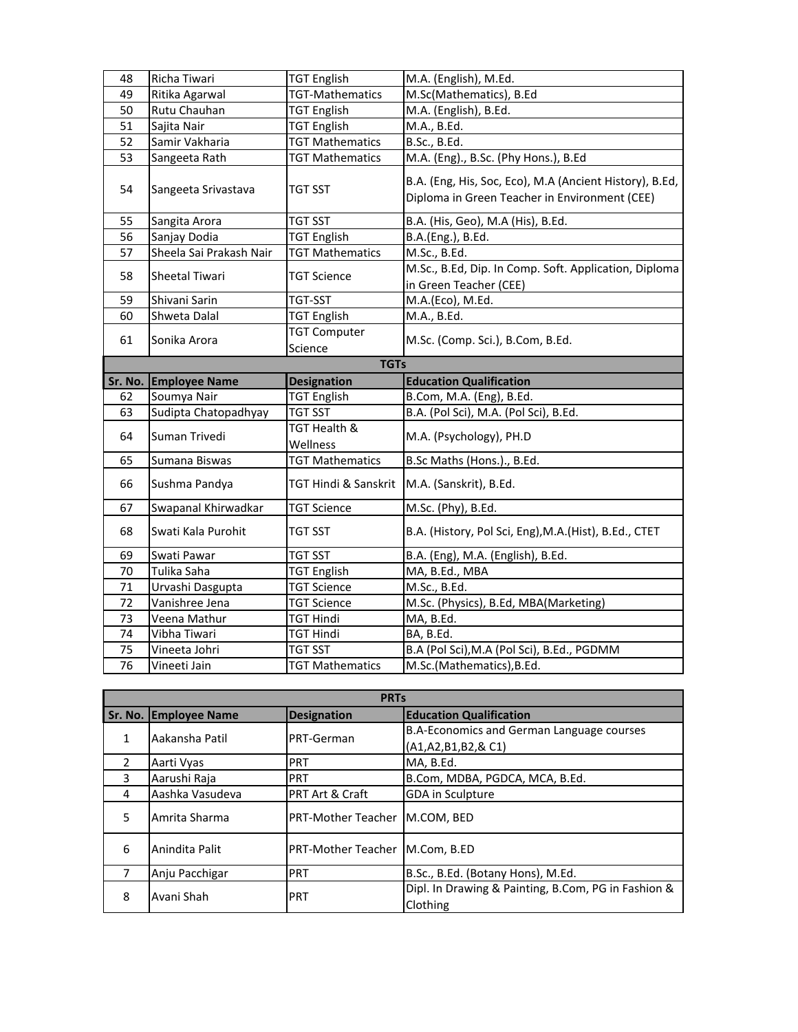| 48          | Richa Tiwari            | <b>TGT English</b>             | M.A. (English), M.Ed.                                                                                    |  |
|-------------|-------------------------|--------------------------------|----------------------------------------------------------------------------------------------------------|--|
| 49          | Ritika Agarwal          | <b>TGT-Mathematics</b>         | M.Sc(Mathematics), B.Ed                                                                                  |  |
| 50          | Rutu Chauhan            | <b>TGT English</b>             | M.A. (English), B.Ed.                                                                                    |  |
| 51          | Sajita Nair             | <b>TGT English</b>             | M.A., B.Ed.                                                                                              |  |
| 52          | Samir Vakharia          | <b>TGT Mathematics</b>         | B.Sc., B.Ed.                                                                                             |  |
| 53          | Sangeeta Rath           | <b>TGT Mathematics</b>         | M.A. (Eng)., B.Sc. (Phy Hons.), B.Ed                                                                     |  |
| 54          | Sangeeta Srivastava     | TGT SST                        | B.A. (Eng, His, Soc, Eco), M.A (Ancient History), B.Ed,<br>Diploma in Green Teacher in Environment (CEE) |  |
| 55          | Sangita Arora           | TGT SST                        | B.A. (His, Geo), M.A (His), B.Ed.                                                                        |  |
| 56          | Sanjay Dodia            | <b>TGT English</b>             | B.A.(Eng.), B.Ed.                                                                                        |  |
| 57          | Sheela Sai Prakash Nair | <b>TGT Mathematics</b>         | M.Sc., B.Ed.                                                                                             |  |
| 58          | <b>Sheetal Tiwari</b>   | <b>TGT Science</b>             | M.Sc., B.Ed, Dip. In Comp. Soft. Application, Diploma<br>in Green Teacher (CEE)                          |  |
| 59          | Shivani Sarin           | <b>TGT-SST</b>                 | M.A.(Eco), M.Ed.                                                                                         |  |
| 60          | Shweta Dalal            | <b>TGT English</b>             | M.A., B.Ed.                                                                                              |  |
| 61          | Sonika Arora            | <b>TGT Computer</b><br>Science | M.Sc. (Comp. Sci.), B.Com, B.Ed.                                                                         |  |
| <b>TGTs</b> |                         |                                |                                                                                                          |  |
|             |                         |                                |                                                                                                          |  |
| Sr. No.     | <b>Employee Name</b>    | <b>Designation</b>             | <b>Education Qualification</b>                                                                           |  |
| 62          | Soumya Nair             | <b>TGT English</b>             | B.Com, M.A. (Eng), B.Ed.                                                                                 |  |
| 63          | Sudipta Chatopadhyay    | TGT SST                        | B.A. (Pol Sci), M.A. (Pol Sci), B.Ed.                                                                    |  |
| 64          | Suman Trivedi           | TGT Health &<br>Wellness       | M.A. (Psychology), PH.D                                                                                  |  |
| 65          | Sumana Biswas           | <b>TGT Mathematics</b>         | B.Sc Maths (Hons.)., B.Ed.                                                                               |  |
| 66          | Sushma Pandya           | TGT Hindi & Sanskrit           | M.A. (Sanskrit), B.Ed.                                                                                   |  |
| 67          | Swapanal Khirwadkar     | <b>TGT Science</b>             | M.Sc. (Phy), B.Ed.                                                                                       |  |
| 68          | Swati Kala Purohit      | TGT SST                        | B.A. (History, Pol Sci, Eng), M.A. (Hist), B.Ed., CTET                                                   |  |
| 69          | Swati Pawar             | TGT SST                        | B.A. (Eng), M.A. (English), B.Ed.                                                                        |  |
| 70          | Tulika Saha             | TGT English                    | MA, B.Ed., MBA                                                                                           |  |
| 71          | Urvashi Dasgupta        | <b>TGT Science</b>             | M.Sc., B.Ed.                                                                                             |  |
| 72          | Vanishree Jena          | TGT Science                    | M.Sc. (Physics), B.Ed, MBA(Marketing)                                                                    |  |
| 73          | Veena Mathur            | TGT Hindi                      | MA, B.Ed.                                                                                                |  |
| 74          | Vibha Tiwari            | TGT Hindi                      | BA, B.Ed.                                                                                                |  |
| 75          | Vineeta Johri           | TGT SST                        | B.A (Pol Sci), M.A (Pol Sci), B.Ed., PGDMM                                                               |  |

|               | <b>PRTs</b>           |                            |                                                     |  |
|---------------|-----------------------|----------------------------|-----------------------------------------------------|--|
|               | Sr. No. Employee Name | <b>Designation</b>         | <b>Education Qualification</b>                      |  |
| 1             | Aakansha Patil        |                            | B.A-Economics and German Language courses           |  |
|               |                       | PRT-German                 | (A1, A2, B1, B2, & C1)                              |  |
| $\mathcal{P}$ | Aarti Vyas            | <b>PRT</b>                 | MA, B.Ed.                                           |  |
| 3             | Aarushi Raja          | <b>PRT</b>                 | B.Com, MDBA, PGDCA, MCA, B.Ed.                      |  |
| 4             | Aashka Vasudeva       | <b>PRT Art &amp; Craft</b> | <b>GDA</b> in Sculpture                             |  |
| 5             | Amrita Sharma         | <b>PRT-Mother Teacher</b>  | M.COM. BED                                          |  |
| 6             | Anindita Palit        | <b>PRT-Mother Teacher</b>  | M.Com. B.ED                                         |  |
|               | Anju Pacchigar        | <b>PRT</b>                 | B.Sc., B.Ed. (Botany Hons), M.Ed.                   |  |
|               |                       | <b>PRT</b>                 | Dipl. In Drawing & Painting, B.Com, PG in Fashion & |  |
| 8             | Avani Shah            |                            | Clothing                                            |  |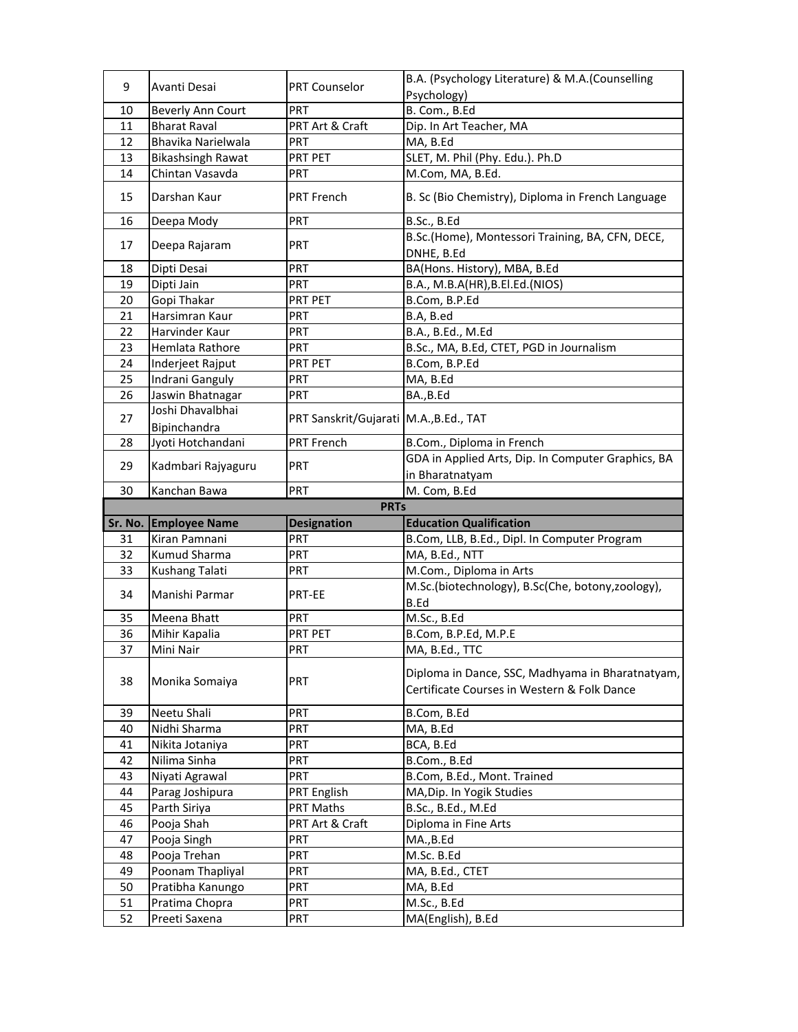| 9        | Avanti Desai                    | <b>PRT Counselor</b>                     | B.A. (Psychology Literature) & M.A. (Counselling                                                |
|----------|---------------------------------|------------------------------------------|-------------------------------------------------------------------------------------------------|
|          |                                 |                                          | Psychology)                                                                                     |
| 10       | <b>Beverly Ann Court</b>        | <b>PRT</b>                               | B. Com., B.Ed                                                                                   |
| 11       | <b>Bharat Raval</b>             | PRT Art & Craft                          | Dip. In Art Teacher, MA                                                                         |
| 12       | Bhavika Narielwala              | <b>PRT</b>                               | MA, B.Ed                                                                                        |
| 13       | <b>Bikashsingh Rawat</b>        | PRT PET                                  | SLET, M. Phil (Phy. Edu.). Ph.D                                                                 |
| 14       | Chintan Vasavda                 | <b>PRT</b>                               | M.Com, MA, B.Ed.                                                                                |
| 15       | Darshan Kaur                    | PRT French                               | B. Sc (Bio Chemistry), Diploma in French Language                                               |
| 16       | Deepa Mody                      | <b>PRT</b>                               | B.Sc., B.Ed                                                                                     |
| 17       | Deepa Rajaram                   | <b>PRT</b>                               | B.Sc.(Home), Montessori Training, BA, CFN, DECE,<br>DNHE, B.Ed                                  |
| 18       | Dipti Desai                     | <b>PRT</b>                               | BA(Hons. History), MBA, B.Ed                                                                    |
| 19       | Dipti Jain                      | <b>PRT</b>                               | B.A., M.B.A(HR), B.El.Ed.(NIOS)                                                                 |
| 20       | Gopi Thakar                     | PRT PET                                  | B.Com, B.P.Ed                                                                                   |
| 21       | Harsimran Kaur                  | <b>PRT</b>                               | B.A, B.ed                                                                                       |
| 22       | Harvinder Kaur                  | <b>PRT</b>                               | B.A., B.Ed., M.Ed                                                                               |
| 23       | Hemlata Rathore                 | <b>PRT</b>                               | B.Sc., MA, B.Ed, CTET, PGD in Journalism                                                        |
| 24       | Inderjeet Rajput                | PRT PET                                  | B.Com, B.P.Ed                                                                                   |
| 25       | Indrani Ganguly                 | PRT                                      | MA, B.Ed                                                                                        |
| 26       | Jaswin Bhatnagar                | <b>PRT</b>                               | BA., B.Ed                                                                                       |
|          | Joshi Dhavalbhai                |                                          |                                                                                                 |
| 27       | Bipinchandra                    | PRT Sanskrit/Gujarati   M.A., B.Ed., TAT |                                                                                                 |
| 28       | Jyoti Hotchandani               | <b>PRT French</b>                        | B.Com., Diploma in French                                                                       |
| 29       | Kadmbari Rajyaguru              | <b>PRT</b>                               | GDA in Applied Arts, Dip. In Computer Graphics, BA                                              |
|          |                                 |                                          | in Bharatnatyam                                                                                 |
| 30       | Kanchan Bawa                    | <b>PRT</b>                               | M. Com, B.Ed                                                                                    |
|          |                                 |                                          |                                                                                                 |
|          |                                 | <b>PRTs</b>                              |                                                                                                 |
| Sr. No.  | <b>Employee Name</b>            | <b>Designation</b>                       | <b>Education Qualification</b>                                                                  |
| 31       | Kiran Pamnani                   | <b>PRT</b>                               | B.Com, LLB, B.Ed., Dipl. In Computer Program                                                    |
| 32       | Kumud Sharma                    | <b>PRT</b>                               | MA, B.Ed., NTT                                                                                  |
| 33       | Kushang Talati                  | <b>PRT</b>                               | M.Com., Diploma in Arts                                                                         |
| 34       | Manishi Parmar                  | PRT-EE                                   | M.Sc.(biotechnology), B.Sc(Che, botony,zoology),<br>B.Ed                                        |
| 35       | Meena Bhatt                     | <b>PRT</b>                               | M.Sc., B.Ed                                                                                     |
| 36       | Mihir Kapalia                   | PRT PET                                  | B.Com, B.P.Ed, M.P.E                                                                            |
| 37       | Mini Nair                       | <b>PRT</b>                               | MA, B.Ed., TTC                                                                                  |
| 38       | Monika Somaiya                  | PRT                                      | Diploma in Dance, SSC, Madhyama in Bharatnatyam,<br>Certificate Courses in Western & Folk Dance |
| 39       | Neetu Shali                     | <b>PRT</b>                               |                                                                                                 |
| 40       |                                 | <b>PRT</b>                               | B.Com, B.Ed                                                                                     |
| 41       | Nidhi Sharma                    | <b>PRT</b>                               | MA, B.Ed                                                                                        |
| 42       | Nikita Jotaniya<br>Nilima Sinha | PRT                                      | BCA, B.Ed                                                                                       |
|          |                                 |                                          | B.Com., B.Ed                                                                                    |
| 43       | Niyati Agrawal                  | <b>PRT</b>                               | B.Com, B.Ed., Mont. Trained                                                                     |
| 44       | Parag Joshipura                 | PRT English                              | MA, Dip. In Yogik Studies                                                                       |
| 45       | Parth Siriya                    | PRT Maths                                | B.Sc., B.Ed., M.Ed                                                                              |
| 46       | Pooja Shah                      | PRT Art & Craft                          | Diploma in Fine Arts                                                                            |
| 47       | Pooja Singh                     | <b>PRT</b>                               | MA.,B.Ed                                                                                        |
| 48       | Pooja Trehan                    | PRT                                      | M.Sc. B.Ed                                                                                      |
| 49       | Poonam Thapliyal                | PRT                                      | MA, B.Ed., CTET                                                                                 |
| 50       | Pratibha Kanungo                | PRT                                      | MA, B.Ed                                                                                        |
| 51<br>52 | Pratima Chopra<br>Preeti Saxena | <b>PRT</b><br><b>PRT</b>                 | M.Sc., B.Ed<br>MA(English), B.Ed                                                                |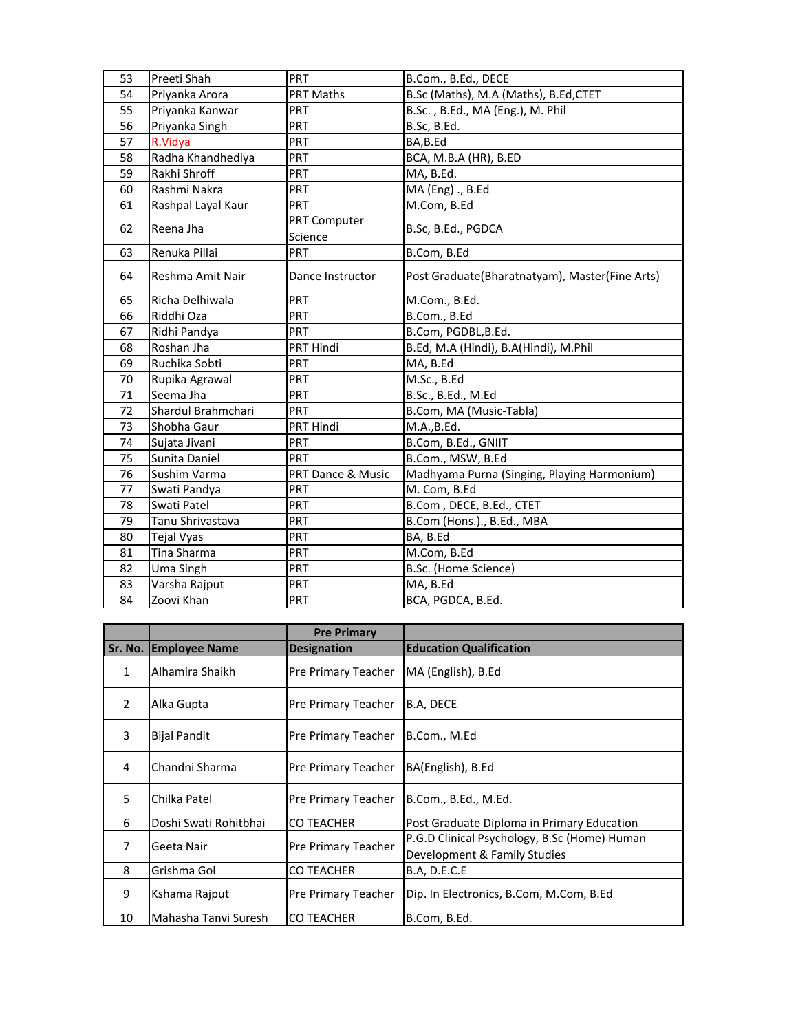| 53 | Preeti Shah        | PRT                     | B.Com., B.Ed., DECE                            |
|----|--------------------|-------------------------|------------------------------------------------|
| 54 | Priyanka Arora     | PRT Maths               | B.Sc (Maths), M.A (Maths), B.Ed,CTET           |
| 55 | Priyanka Kanwar    | <b>PRT</b>              | B.Sc., B.Ed., MA (Eng.), M. Phil               |
| 56 | Priyanka Singh     | <b>PRT</b>              | B.Sc, B.Ed.                                    |
| 57 | R.Vidya            | <b>PRT</b>              | BA,B.Ed                                        |
| 58 | Radha Khandhediya  | <b>PRT</b>              | BCA, M.B.A (HR), B.ED                          |
| 59 | Rakhi Shroff       | <b>PRT</b>              | MA, B.Ed.                                      |
| 60 | Rashmi Nakra       | PRT                     | MA (Eng) ., B.Ed                               |
| 61 | Rashpal Layal Kaur | <b>PRT</b>              | M.Com, B.Ed                                    |
| 62 | Reena Jha          | PRT Computer<br>Science | B.Sc, B.Ed., PGDCA                             |
| 63 | Renuka Pillai      | <b>PRT</b>              | B.Com, B.Ed                                    |
| 64 | Reshma Amit Nair   | Dance Instructor        | Post Graduate(Bharatnatyam), Master(Fine Arts) |
| 65 | Richa Delhiwala    | <b>PRT</b>              | M.Com., B.Ed.                                  |
| 66 | Riddhi Oza         | <b>PRT</b>              | B.Com., B.Ed                                   |
| 67 | Ridhi Pandya       | <b>PRT</b>              | B.Com, PGDBL,B.Ed.                             |
| 68 | Roshan Jha         | PRT Hindi               | B.Ed, M.A (Hindi), B.A(Hindi), M.Phil          |
| 69 | Ruchika Sobti      | <b>PRT</b>              | MA, B.Ed                                       |
| 70 | Rupika Agrawal     | PRT                     | M.Sc., B.Ed                                    |
| 71 | Seema Jha          | <b>PRT</b>              | B.Sc., B.Ed., M.Ed                             |
| 72 | Shardul Brahmchari | <b>PRT</b>              | B.Com, MA (Music-Tabla)                        |
| 73 | Shobha Gaur        | PRT Hindi               | M.A., B.Ed.                                    |
| 74 | Sujata Jivani      | PRT                     | B.Com, B.Ed., GNIIT                            |
| 75 | Sunita Daniel      | <b>PRT</b>              | B.Com., MSW, B.Ed                              |
| 76 | Sushim Varma       | PRT Dance & Music       | Madhyama Purna (Singing, Playing Harmonium)    |
| 77 | Swati Pandya       | <b>PRT</b>              | M. Com, B.Ed                                   |
| 78 | Swati Patel        | <b>PRT</b>              | B.Com, DECE, B.Ed., CTET                       |
| 79 | Tanu Shrivastava   | <b>PRT</b>              | B.Com (Hons.)., B.Ed., MBA                     |
| 80 | <b>Tejal Vyas</b>  | <b>PRT</b>              | BA, B.Ed                                       |
| 81 | Tina Sharma        | PRT                     | M.Com, B.Ed                                    |
| 82 | Uma Singh          | <b>PRT</b>              | B.Sc. (Home Science)                           |
| 83 | Varsha Rajput      | <b>PRT</b>              | MA, B.Ed                                       |
| 84 | Zoovi Khan         | <b>PRT</b>              | BCA, PGDCA, B.Ed.                              |

|                |                       | <b>Pre Primary</b>         |                                                                              |
|----------------|-----------------------|----------------------------|------------------------------------------------------------------------------|
| Sr. No.        | <b>Employee Name</b>  | <b>Designation</b>         | <b>Education Qualification</b>                                               |
| $\mathbf{1}$   | Alhamira Shaikh       | <b>Pre Primary Teacher</b> | MA (English), B.Ed                                                           |
| $\mathcal{P}$  | Alka Gupta            | <b>Pre Primary Teacher</b> | B.A, DECE                                                                    |
| 3              | <b>Bijal Pandit</b>   | Pre Primary Teacher        | B.Com., M.Ed                                                                 |
| 4              | Chandni Sharma        | <b>Pre Primary Teacher</b> | BA(English), B.Ed                                                            |
| 5              | Chilka Patel          | <b>Pre Primary Teacher</b> | B.Com., B.Ed., M.Ed.                                                         |
| 6              | Doshi Swati Rohitbhai | <b>CO TEACHER</b>          | Post Graduate Diploma in Primary Education                                   |
| $\overline{7}$ | Geeta Nair            | Pre Primary Teacher        | P.G.D Clinical Psychology, B.Sc (Home) Human<br>Development & Family Studies |
| 8              | Grishma Gol           | <b>CO TEACHER</b>          | <b>B.A, D.E.C.E</b>                                                          |
| 9              | Kshama Rajput         | <b>Pre Primary Teacher</b> | Dip. In Electronics, B.Com, M.Com, B.Ed                                      |
| 10             | Mahasha Tanvi Suresh  | <b>CO TEACHER</b>          | B.Com, B.Ed.                                                                 |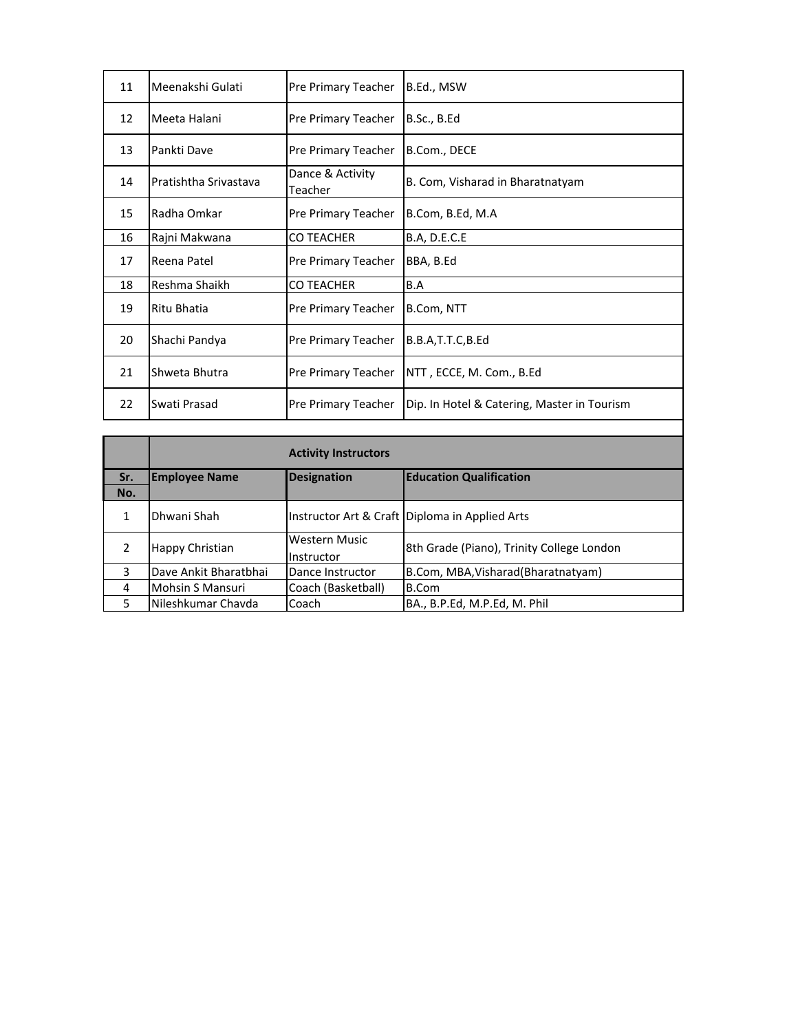| 11 | Meenakshi Gulati      | Pre Primary Teacher         | B.Ed., MSW                                  |
|----|-----------------------|-----------------------------|---------------------------------------------|
| 12 | Meeta Halani          | Pre Primary Teacher         | B.Sc., B.Ed                                 |
| 13 | Pankti Dave           | Pre Primary Teacher         | B.Com., DECE                                |
| 14 | Pratishtha Srivastava | Dance & Activity<br>Teacher | B. Com, Visharad in Bharatnatyam            |
| 15 | Radha Omkar           | Pre Primary Teacher         | B.Com, B.Ed, M.A                            |
| 16 | Rajni Makwana         | <b>CO TEACHER</b>           | <b>B.A, D.E.C.E</b>                         |
| 17 | Reena Patel           | Pre Primary Teacher         | BBA, B.Ed                                   |
| 18 | Reshma Shaikh         | <b>CO TEACHER</b>           | B.A                                         |
| 19 | Ritu Bhatia           | Pre Primary Teacher         | B.Com, NTT                                  |
| 20 | Shachi Pandya         | <b>Pre Primary Teacher</b>  | B.B.A.T.T.C.B.Ed                            |
| 21 | Shweta Bhutra         | Pre Primary Teacher         | NTT , ECCE, M. Com., B.Ed                   |
| 22 | Swati Prasad          | Pre Primary Teacher         | Dip. In Hotel & Catering, Master in Tourism |

|     | <b>Activity Instructors</b>                                                  |                                    |                                                |
|-----|------------------------------------------------------------------------------|------------------------------------|------------------------------------------------|
| Sr. | <b>Education Qualification</b><br><b>Designation</b><br><b>Employee Name</b> |                                    |                                                |
| No. |                                                                              |                                    |                                                |
|     | Dhwani Shah                                                                  |                                    | Instructor Art & Craft Diploma in Applied Arts |
|     | Happy Christian                                                              | <b>Western Music</b><br>Instructor | 8th Grade (Piano), Trinity College London      |
| 3   | Dave Ankit Bharatbhai                                                        | Dance Instructor                   | B.Com, MBA, Visharad (Bharatnatyam)            |
| 4   | <b>Mohsin S Mansuri</b>                                                      | Coach (Basketball)                 | B.Com                                          |
| 5   | Nileshkumar Chavda                                                           | Coach                              | BA., B.P.Ed, M.P.Ed, M. Phil                   |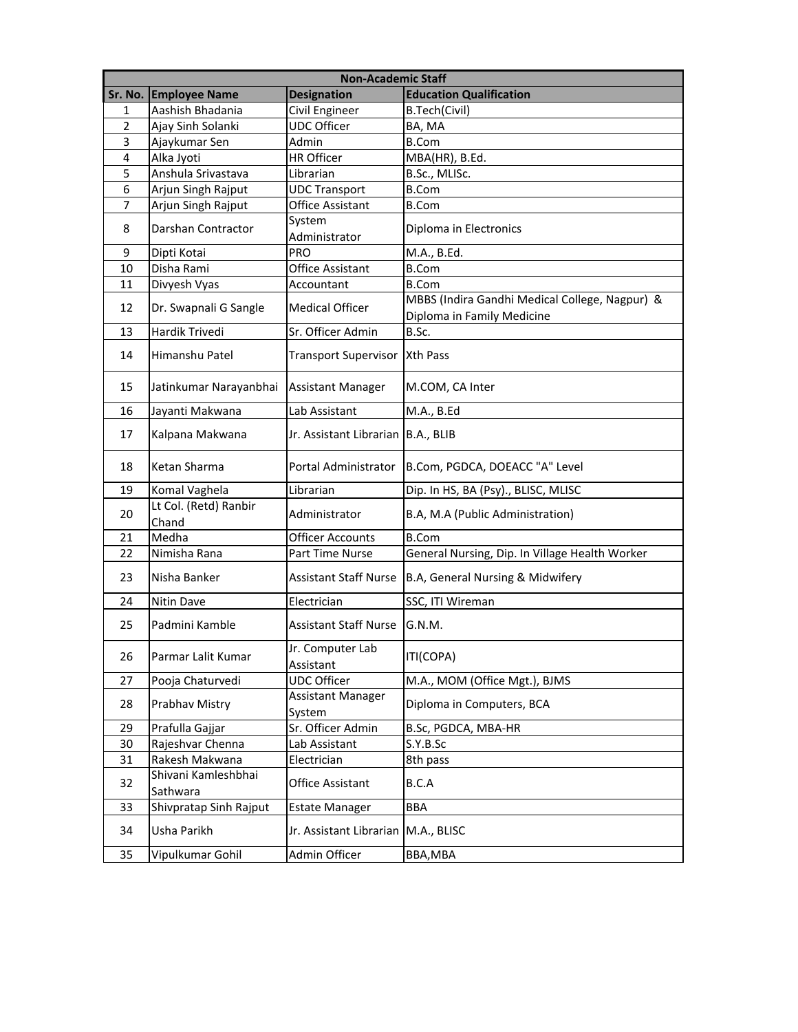|         | <b>Non-Academic Staff</b>       |                                      |                                                |  |
|---------|---------------------------------|--------------------------------------|------------------------------------------------|--|
| Sr. No. | <b>Employee Name</b>            | <b>Designation</b>                   | <b>Education Qualification</b>                 |  |
| 1       | Aashish Bhadania                | Civil Engineer                       | B.Tech(Civil)                                  |  |
| 2       | Ajay Sinh Solanki               | <b>UDC Officer</b>                   | BA, MA                                         |  |
| 3       | Ajaykumar Sen                   | Admin                                | B.Com                                          |  |
| 4       | Alka Jyoti                      | <b>HR Officer</b>                    | MBA(HR), B.Ed.                                 |  |
| 5       | Anshula Srivastava              | Librarian                            | B.Sc., MLISc.                                  |  |
| 6       | Arjun Singh Rajput              | <b>UDC Transport</b>                 | <b>B.Com</b>                                   |  |
| 7       | Arjun Singh Rajput              | Office Assistant                     | <b>B.Com</b>                                   |  |
| 8       | Darshan Contractor              | System<br>Administrator              | Diploma in Electronics                         |  |
| 9       | Dipti Kotai                     | PRO                                  | M.A., B.Ed.                                    |  |
| 10      | Disha Rami                      | <b>Office Assistant</b>              | <b>B.Com</b>                                   |  |
| 11      | Divyesh Vyas                    | Accountant                           | <b>B.Com</b>                                   |  |
| 12      | Dr. Swapnali G Sangle           | <b>Medical Officer</b>               | MBBS (Indira Gandhi Medical College, Nagpur) & |  |
|         |                                 |                                      | Diploma in Family Medicine                     |  |
| 13      | Hardik Trivedi                  | Sr. Officer Admin                    | B.Sc.                                          |  |
| 14      | Himanshu Patel                  | Transport Supervisor   Xth Pass      |                                                |  |
| 15      | Jatinkumar Narayanbhai          | <b>Assistant Manager</b>             | M.COM, CA Inter                                |  |
| 16      | Jayanti Makwana                 | Lab Assistant                        | M.A., B.Ed                                     |  |
| 17      | Kalpana Makwana                 | Jr. Assistant Librarian   B.A., BLIB |                                                |  |
| 18      | Ketan Sharma                    | Portal Administrator                 | B.Com, PGDCA, DOEACC "A" Level                 |  |
| 19      | Komal Vaghela                   | Librarian                            | Dip. In HS, BA (Psy)., BLISC, MLISC            |  |
| 20      | Lt Col. (Retd) Ranbir<br>Chand  | Administrator                        | B.A, M.A (Public Administration)               |  |
| 21      | Medha                           | <b>Officer Accounts</b>              | <b>B.Com</b>                                   |  |
| 22      | Nimisha Rana                    | Part Time Nurse                      | General Nursing, Dip. In Village Health Worker |  |
| 23      | Nisha Banker                    | <b>Assistant Staff Nurse</b>         | B.A, General Nursing & Midwifery               |  |
| 24      | <b>Nitin Dave</b>               | Electrician                          | SSC, ITI Wireman                               |  |
| 25      | Padmini Kamble                  | <b>Assistant Staff Nurse</b>         | G.N.M.                                         |  |
| 26      | Parmar Lalit Kumar              | Jr. Computer Lab<br>Assistant        | ITI(COPA)                                      |  |
| 27      | Pooja Chaturvedi                | <b>UDC Officer</b>                   | M.A., MOM (Office Mgt.), BJMS                  |  |
| 28      | Prabhav Mistry                  | Assistant Manager<br>System          | Diploma in Computers, BCA                      |  |
| 29      | Prafulla Gajjar                 | Sr. Officer Admin                    | B.Sc, PGDCA, MBA-HR                            |  |
| 30      | Rajeshvar Chenna                | Lab Assistant                        | S.Y.B.Sc                                       |  |
| 31      | Rakesh Makwana                  | Electrician                          | 8th pass                                       |  |
| 32      | Shivani Kamleshbhai<br>Sathwara | <b>Office Assistant</b>              | B.C.A                                          |  |
| 33      | Shivpratap Sinh Rajput          | <b>Estate Manager</b>                | <b>BBA</b>                                     |  |
| 34      | Usha Parikh                     | Jr. Assistant Librarian              | M.A., BLISC                                    |  |
| 35      | Vipulkumar Gohil                | Admin Officer                        | BBA, MBA                                       |  |